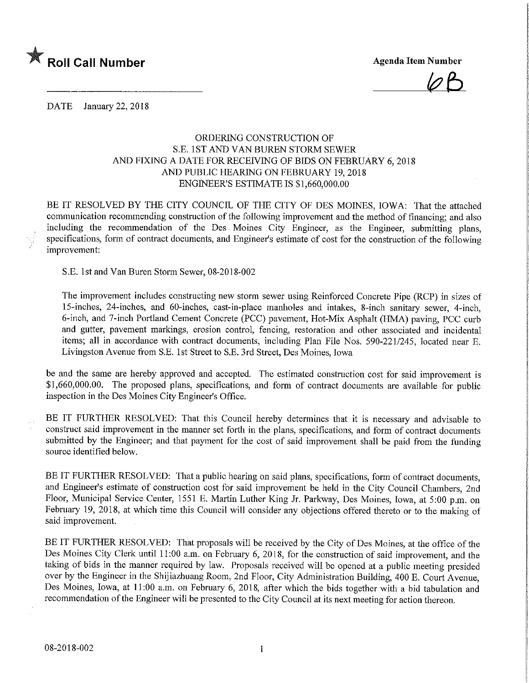

 $\varphi$ B

DATE January 22, 2018

## ORDERING CONSTRUCTION OF S.E. 1ST AND VAN BUREN STORM SEWER AND FIXING A DATE FOR RECEIVING OF BIDS ON FEBRUARY 6,2018 AND PUBLIC HEARING ON FEBRUARY 19,2018 ENGINEER'S ESTIMATE IS \$1,660,000.00

BE IT RESOLVED BY THE CITY COUNCIL OF THE CITY OF DES MOINES, IOWA: That the attached communication recommending construction of the following improvement and the method of financing; and also including the recommendation of the Des Moines City Engineer, as the Engineer, submitting plans, specifications, form of contract documents, and Engineer's estimate of cost for the construction of the following improvement:

S.E. 1 st and Van Buren Storm Sewer, 08-20] 8-002

The improvement includes constructing new storm sewer using Reinforced Concrete Pipe (RCP) in sizes of 15-inches, 24-inches, and 60-inches, cast-in-place manholes and intakes, 8-inch sanitary sewer, 4-inch, 6-inch, and 7-inch Portland Cement Concrete (PCC) pavement, Hot-Mix Asphalt (HMA) paving, PCC curb and gutter, pavement markings, erosion control, fencing, restoration and other associated and incidental items; all in accordance with contract documents, including Plan File Nos. 590-221/245, located near E. Livingston Avenue from S.E. 1st Street to S.E. 3rd Street, Des Moines, Iowa

be and the same are hereby approved and accepted. The estimated construction cost for said improvement is \$1,660,000.00. The proposed plans, specifications, and form of contract documents are available for public inspection in the Des Moines City Engineer's Office.

BE IT FURTHER RESOLVED: That this Council hereby determines that it is necessary and advisable to construct said improvement in the manner set forth in the plans, specifications, and form of contract documents submitted by the Engineer; and that payment for the cost of said improvement shall be paid from the funding source identified below.

BE IT FURTHER RESOLVED: That a public hearing on said plans, specifications, form of contract documents, and Engineer's estimate of construction cost for said improvement be held in the City Council Chambers, 2nd Floor, Municipal Service Center, 1551 E. Martin Luther King Jr. Parkway, Des Moines, Iowa, at 5:00 p.m. on February 19, 2018, at which time this Council will consider any objections offered thereto or to the making of said improvement.

BE IT FURTHER RESOLVED: That proposals will be received by the City of Des Moines, at the office of the Des Moines City Clerk until 11:00 a.m. on February 6, 2018, for the construction of said improvement, and the taking of bids in the manner required by law. Proposals received will be opened at a public meeting presided over by the Engineer in the Shijiazhuang Room, 2nd Floor, City Administration Building, 400 E. Court Avenue, Des Moines, Iowa, at 11:00 a.m. on February 6, 2018, after which the bids together with a bid tabulation and recommendation of the Engineer will be presented to the City Council at its next meeting for action thereon.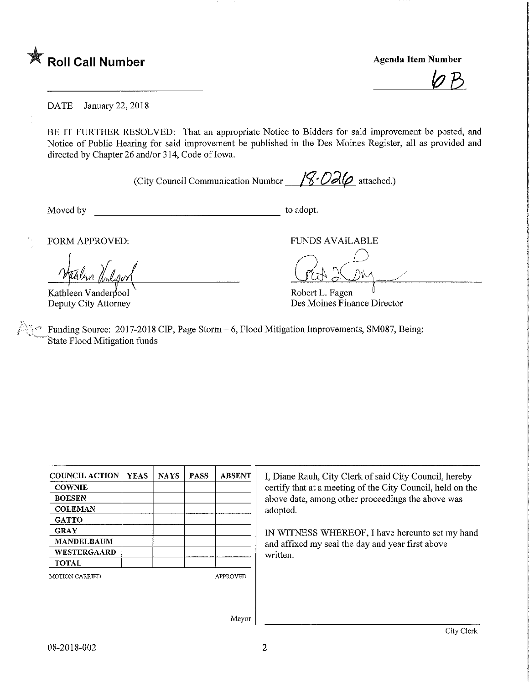

**Agenda Item Number** 

DATE January 22, 2018

BE IT FURTHER RESOLVED: That an appropriate Notice to Bidders for said improvement be posted, and Notice of Public Hearing for said improvement be published in the Des Moines Register, all as provided and directed by Chapter 26 and/or 314, Code of Iowa.

(City Council Communication Number  $\sqrt{8}$  O2 $\varphi$  attached.)

Moved by to adopt.

FORM APPROVED: FUNDS AVAILABLE

Kathleen Vanderpool Deputy City Attorney

Robert L. Fagen Des Moines Finance Director

Funding Source: 2017-2018 CIP, Page Storm - 6, Flood Mitigation Improvements, SM087, Being: State Flood Mitigation funds

|  | <b>APPROVED</b> |
|--|-----------------|
|  |                 |
|  |                 |
|  |                 |

I, Diane Rauh, City Clerk of said City Council, hereby certify that at a meeting of the City Council, held on the above date, among other proceedings the above was adopted.

IN WITNESS WHEREOF, I have hereunto set my hand and affixed my seal the day and year first above written.

Mayor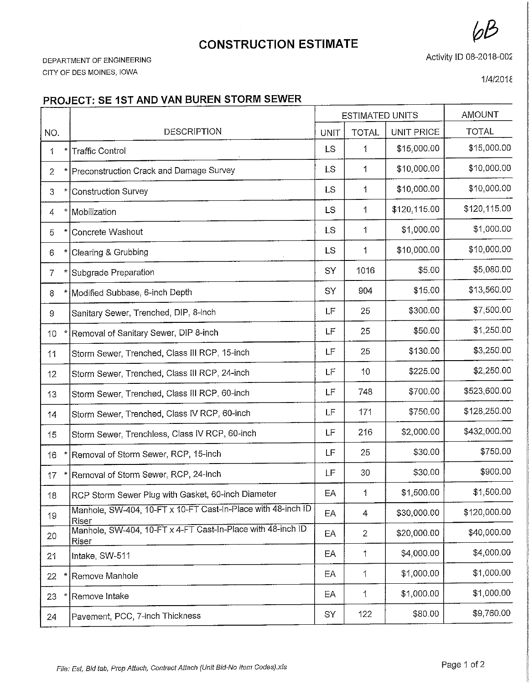## **CONSTRUCTION ESTIMATE**

DEPARTMENT OF ENGINEERING CITY OF DES MOINES, IOWA

Activity ID 08-2018-002

1/4/2018

## PROJECT: SE 1ST AND VAN BUREN STORM SEWER

|                 |   |                                                                             | <b>ESTIMATED UNITS</b> |                | <b>AMOUNT</b> |              |
|-----------------|---|-----------------------------------------------------------------------------|------------------------|----------------|---------------|--------------|
| NO.             |   | <b>DESCRIPTION</b>                                                          | UNIT                   | <b>TOTAL</b>   | UNIT PRICE    | <b>TOTAL</b> |
| 1               |   | <b>Traffic Control</b>                                                      | <b>LS</b>              | 1              | \$15,000.00   | \$15,000.00  |
| $\overline{2}$  |   | Preconstruction Crack and Damage Survey                                     | <b>LS</b>              | 1              | \$10,000.00   | \$10,000.00  |
| 3               |   | <b>Construction Survey</b>                                                  | LS                     | $\mathbf 1$    | \$10,000.00   | \$10,000.00  |
| 4               |   | Mobilization                                                                | <b>LS</b>              | $\mathbf 1$    | \$120,115.00  | \$120,115.00 |
| 5               |   | Concrete Washout                                                            | <b>LS</b>              | $\mathbf 1$    | \$1,000.00    | \$1,000.00   |
| 6               |   | Clearing & Grubbing                                                         | <b>LS</b>              | $\mathbf 1$    | \$10,000.00   | \$10,000.00  |
| 7               | * | Subgrade Preparation                                                        | SY                     | 1016           | \$5.00        | \$5,080.00   |
| 8               |   | * Modified Subbase, 6-inch Depth                                            | SY                     | 904            | \$15.00       | \$13,560.00  |
| 9               |   | Sanitary Sewer, Trenched, DIP, 8-inch                                       | LF                     | 25             | \$300.00      | \$7,500.00   |
| 10              |   | Removal of Sanitary Sewer, DIP 8-inch                                       | LF                     | 25             | \$50.00       | \$1,250.00   |
| 11              |   | Storm Sewer, Trenched, Class III RCP, 15-inch                               | LF                     | 25             | \$130.00      | \$3,250.00   |
| 12              |   | Storm Sewer, Trenched, Class III RCP, 24-inch                               | LF                     | 10             | \$225.00      | \$2,250.00   |
| 13              |   | Storm Sewer, Trenched, Class III RCP, 60-inch                               | LF                     | 748            | \$700.00      | \$523,600.00 |
| 14              |   | Storm Sewer, Trenched, Class IV RCP, 60-inch                                | LF                     | 171            | \$750.00      | \$128,250.00 |
| 15              |   | Storm Sewer, Trenchless, Class IV RCP, 60-inch                              | LF                     | 216            | \$2,000.00    | \$432,000.00 |
| 16              |   | Removal of Storm Sewer, RCP, 15-inch                                        | LF                     | 25             | \$30.00       | \$750.00     |
| 17              |   | Removal of Storm Sewer, RCP, 24-inch                                        | LF                     | 30             | \$30.00       | \$900.00     |
| 18              |   | RCP Storm Sewer Plug with Gasket, 60-inch Diameter                          | $\mathsf{E}\mathsf{A}$ | $\mathbf{1}$   | \$1,500.00    | \$1,500.00   |
| 19              |   | Manhole, SW-404, 10-FT x 10-FT Cast-In-Place with 48-inch ID<br>Riser       | EA                     | 4              | \$30,000.00   | \$120,000.00 |
| 20              |   | Manhole, SW-404, 10-FT x 4-FT Cast-In-Place with 48-inch ID<br><u>Riser</u> | EA                     | $\overline{2}$ | \$20,000.00   | \$40,000.00  |
| 2 <sup>1</sup>  |   | Intake, SW-511                                                              | EA                     | 1              | \$4,000.00    | \$4,000.00   |
| 22 <sub>1</sub> |   | Remove Manhole                                                              | EA                     | 1              | \$1,000.00    | \$1,000.00   |
| 23              |   | Remove Intake                                                               | EA                     | 1              | \$1,000.00    | \$1,000.00   |
| 24              |   | Pavement, PCC, 7-inch Thickness                                             | SY                     | 122            | \$80.00       | \$9,760.00   |
|                 |   |                                                                             |                        |                |               |              |